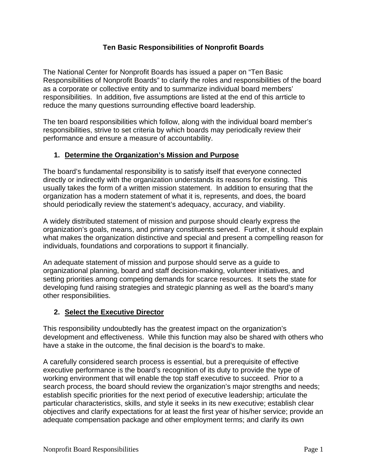### **Ten Basic Responsibilities of Nonprofit Boards**

The National Center for Nonprofit Boards has issued a paper on "Ten Basic Responsibilities of Nonprofit Boards" to clarify the roles and responsibilities of the board as a corporate or collective entity and to summarize individual board members' responsibilities. In addition, five assumptions are listed at the end of this arrticle to reduce the many questions surrounding effective board leadership.

The ten board responsibilities which follow, along with the individual board member's responsibilities, strive to set criteria by which boards may periodically review their performance and ensure a measure of accountability.

#### **1. Determine the Organization's Mission and Purpose**

The board's fundamental responsibility is to satisfy itself that everyone connected directly or indirectly with the organization understands its reasons for existing. This usually takes the form of a written mission statement. In addition to ensuring that the organization has a modern statement of what it is, represents, and does, the board should periodically review the statement's adequacy, accuracy, and viability.

A widely distributed statement of mission and purpose should clearly express the organization's goals, means, and primary constituents served. Further, it should explain what makes the organization distinctive and special and present a compelling reason for individuals, foundations and corporations to support it financially.

An adequate statement of mission and purpose should serve as a guide to organizational planning, board and staff decision-making, volunteer initiatives, and setting priorities among competing demands for scarce resources. It sets the state for developing fund raising strategies and strategic planning as well as the board's many other responsibilities.

#### **2. Select the Executive Director**

This responsibility undoubtedly has the greatest impact on the organization's development and effectiveness. While this function may also be shared with others who have a stake in the outcome, the final decision is the board's to make.

A carefully considered search process is essential, but a prerequisite of effective executive performance is the board's recognition of its duty to provide the type of working environment that will enable the top staff executive to succeed. Prior to a search process, the board should review the organization's major strengths and needs; establish specific priorities for the next period of executive leadership; articulate the particular characteristics, skills, and style it seeks in its new executive; establish clear objectives and clarify expectations for at least the first year of his/her service; provide an adequate compensation package and other employment terms; and clarify its own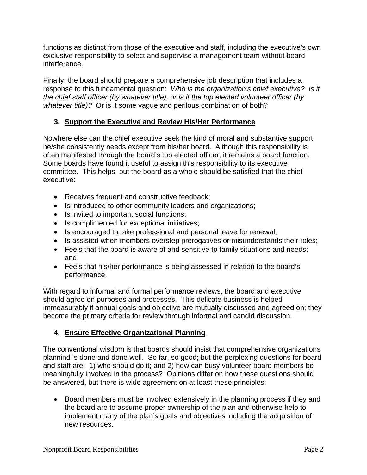functions as distinct from those of the executive and staff, including the executive's own exclusive responsibility to select and supervise a management team without board interference.

Finally, the board should prepare a comprehensive job description that includes a response to this fundamental question: *Who is the organization's chief executive? Is it the chief staff officer (by whatever title), or is it the top elected volunteer officer (by whatever title)?* Or is it some vague and perilous combination of both?

# **3. Support the Executive and Review His/Her Performance**

Nowhere else can the chief executive seek the kind of moral and substantive support he/she consistently needs except from his/her board. Although this responsibility is often manifested through the board's top elected officer, it remains a board function. Some boards have found it useful to assign this responsibility to its executive committee. This helps, but the board as a whole should be satisfied that the chief executive:

- Receives frequent and constructive feedback;
- Is introduced to other community leaders and organizations;
- Is invited to important social functions;
- Is complimented for exceptional initiatives;
- Is encouraged to take professional and personal leave for renewal;
- Is assisted when members overstep prerogatives or misunderstands their roles;
- Feels that the board is aware of and sensitive to family situations and needs; and
- Feels that his/her performance is being assessed in relation to the board's performance.

With regard to informal and formal performance reviews, the board and executive should agree on purposes and processes. This delicate business is helped immeasurably if annual goals and objective are mutually discussed and agreed on; they become the primary criteria for review through informal and candid discussion.

# **4. Ensure Effective Organizational Planning**

The conventional wisdom is that boards should insist that comprehensive organizations plannind is done and done well. So far, so good; but the perplexing questions for board and staff are: 1) who should do it; and 2) how can busy volunteer board members be meaningfully involved in the process? Opinions differ on how these questions should be answered, but there is wide agreement on at least these principles:

• Board members must be involved extensively in the planning process if they and the board are to assume proper ownership of the plan and otherwise help to implement many of the plan's goals and objectives including the acquisition of new resources.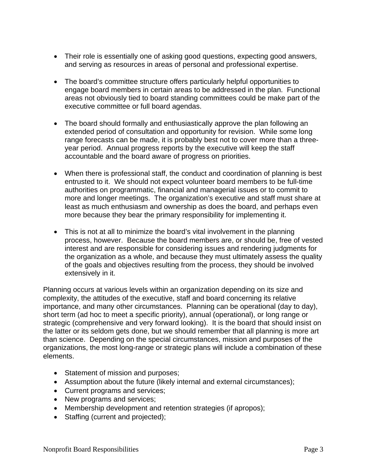- Their role is essentially one of asking good questions, expecting good answers, and serving as resources in areas of personal and professional expertise.
- The board's committee structure offers particularly helpful opportunities to engage board members in certain areas to be addressed in the plan. Functional areas not obviously tied to board standing committees could be make part of the executive committee or full board agendas.
- The board should formally and enthusiastically approve the plan following an extended period of consultation and opportunity for revision. While some long range forecasts can be made, it is probably best not to cover more than a threeyear period. Annual progress reports by the executive will keep the staff accountable and the board aware of progress on priorities.
- When there is professional staff, the conduct and coordination of planning is best entrusted to it. We should not expect volunteer board members to be full-time authorities on programmatic, financial and managerial issues or to commit to more and longer meetings. The organization's executive and staff must share at least as much enthusiasm and ownership as does the board, and perhaps even more because they bear the primary responsibility for implementing it.
- This is not at all to minimize the board's vital involvement in the planning process, however. Because the board members are, or should be, free of vested interest and are responsible for considering issues and rendering judgments for the organization as a whole, and because they must ultimately assess the quality of the goals and objectives resulting from the process, they should be involved extensively in it.

Planning occurs at various levels within an organization depending on its size and complexity, the attitudes of the executive, staff and board concerning its relative importance, and many other circumstances. Planning can be operational (day to day), short term (ad hoc to meet a specific priority), annual (operational), or long range or strategic (comprehensive and very forward looking). It is the board that should insist on the latter or its seldom gets done, but we should remember that all planning is more art than science. Depending on the special circumstances, mission and purposes of the organizations, the most long-range or strategic plans will include a combination of these elements.

- Statement of mission and purposes;
- Assumption about the future (likely internal and external circumstances);
- Current programs and services;
- New programs and services;
- Membership development and retention strategies (if apropos);
- Staffing (current and projected);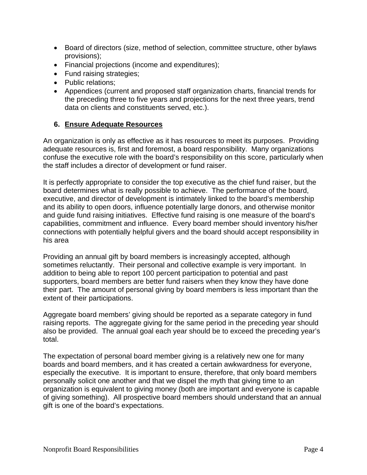- Board of directors (size, method of selection, committee structure, other bylaws provisions);
- Financial projections (income and expenditures);
- Fund raising strategies;
- Public relations;
- Appendices (current and proposed staff organization charts, financial trends for the preceding three to five years and projections for the next three years, trend data on clients and constituents served, etc.).

### **6. Ensure Adequate Resources**

An organization is only as effective as it has resources to meet its purposes. Providing adequate resources is, first and foremost, a board responsibility. Many organizations confuse the executive role with the board's responsibility on this score, particularly when the staff includes a director of development or fund raiser.

It is perfectly appropriate to consider the top executive as the chief fund raiser, but the board determines what is really possible to achieve. The performance of the board, executive, and director of development is intimately linked to the board's membership and its ability to open doors, influence potentially large donors, and otherwise monitor and guide fund raising initiatives. Effective fund raising is one measure of the board's capabilities, commitment and influence. Every board member should inventory his/her connections with potentially helpful givers and the board should accept responsibility in his area

Providing an annual gift by board members is increasingly accepted, although sometimes reluctantly. Their personal and collective example is very important. In addition to being able to report 100 percent participation to potential and past supporters, board members are better fund raisers when they know they have done their part. The amount of personal giving by board members is less important than the extent of their participations.

Aggregate board members' giving should be reported as a separate category in fund raising reports. The aggregate giving for the same period in the preceding year should also be provided. The annual goal each year should be to exceed the preceding year's total.

The expectation of personal board member giving is a relatively new one for many boards and board members, and it has created a certain awkwardness for everyone, especially the executive. It is important to ensure, therefore, that only board members personally solicit one another and that we dispel the myth that giving time to an organization is equivalent to giving money (both are important and everyone is capable of giving something). All prospective board members should understand that an annual gift is one of the board's expectations.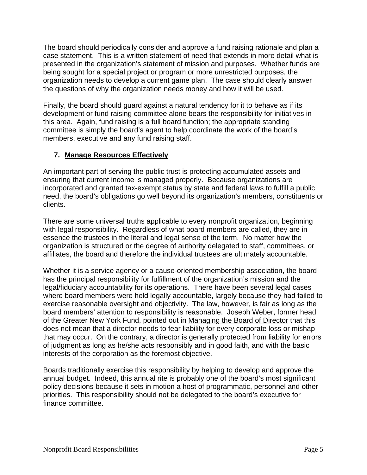The board should periodically consider and approve a fund raising rationale and plan a case statement. This is a written statement of need that extends in more detail what is presented in the organization's statement of mission and purposes. Whether funds are being sought for a special project or program or more unrestricted purposes, the organization needs to develop a current game plan. The case should clearly answer the questions of why the organization needs money and how it will be used.

Finally, the board should guard against a natural tendency for it to behave as if its development or fund raising committee alone bears the responsibility for initiatives in this area. Again, fund raising is a full board function; the appropriate standing committee is simply the board's agent to help coordinate the work of the board's members, executive and any fund raising staff.

# **7. Manage Resources Effectively**

An important part of serving the public trust is protecting accumulated assets and ensuring that current income is managed properly. Because organizations are incorporated and granted tax-exempt status by state and federal laws to fulfill a public need, the board's obligations go well beyond its organization's members, constituents or clients.

There are some universal truths applicable to every nonprofit organization, beginning with legal responsibility. Regardless of what board members are called, they are in essence the trustees in the literal and legal sense of the term. No matter how the organization is structured or the degree of authority delegated to staff, committees, or affiliates, the board and therefore the individual trustees are ultimately accountable.

Whether it is a service agency or a cause-oriented membership association, the board has the principal responsibility for fulfillment of the organization's mission and the legal/fiduciary accountability for its operations. There have been several legal cases where board members were held legally accountable, largely because they had failed to exercise reasonable oversight and objectivity. The law, however, is fair as long as the board members' attention to responsibility is reasonable. Joseph Weber, former head of the Greater New York Fund, pointed out in Managing the Board of Director that this does not mean that a director needs to fear liability for every corporate loss or mishap that may occur. On the contrary, a director is generally protected from liability for errors of judgment as long as he/she acts responsibly and in good faith, and with the basic interests of the corporation as the foremost objective.

Boards traditionally exercise this responsibility by helping to develop and approve the annual budget. Indeed, this annual rite is probably one of the board's most significant policy decisions because it sets in motion a host of programmatic, personnel and other priorities. This responsibility should not be delegated to the board's executive for finance committee.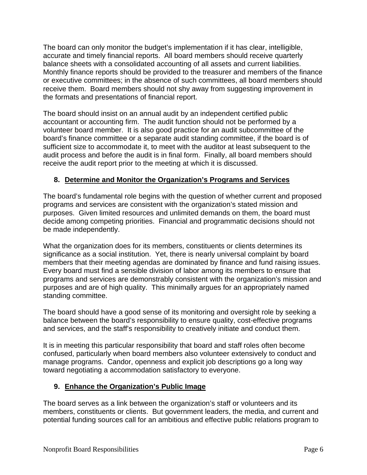The board can only monitor the budget's implementation if it has clear, intelligible, accurate and timely financial reports. All board members should receive quarterly balance sheets with a consolidated accounting of all assets and current liabilities. Monthly finance reports should be provided to the treasurer and members of the finance or executive committees; in the absence of such committees, all board members should receive them. Board members should not shy away from suggesting improvement in the formats and presentations of financial report.

The board should insist on an annual audit by an independent certified public accountant or accounting firm. The audit function should not be performed by a volunteer board member. It is also good practice for an audit subcommittee of the board's finance committee or a separate audit standing committee, if the board is of sufficient size to accommodate it, to meet with the auditor at least subsequent to the audit process and before the audit is in final form. Finally, all board members should receive the audit report prior to the meeting at which it is discussed.

# **8. Determine and Monitor the Organization's Programs and Services**

The board's fundamental role begins with the question of whether current and proposed programs and services are consistent with the organization's stated mission and purposes. Given limited resources and unlimited demands on them, the board must decide among competing priorities. Financial and programmatic decisions should not be made independently.

What the organization does for its members, constituents or clients determines its significance as a social institution. Yet, there is nearly universal complaint by board members that their meeting agendas are dominated by finance and fund raising issues. Every board must find a sensible division of labor among its members to ensure that programs and services are demonstrably consistent with the organization's mission and purposes and are of high quality. This minimally argues for an appropriately named standing committee.

The board should have a good sense of its monitoring and oversight role by seeking a balance between the board's responsibility to ensure quality, cost-effective programs and services, and the staff's responsibility to creatively initiate and conduct them.

It is in meeting this particular responsibility that board and staff roles often become confused, particularly when board members also volunteer extensively to conduct and manage programs. Candor, openness and explicit job descriptions go a long way toward negotiating a accommodation satisfactory to everyone.

### **9. Enhance the Organization's Public Image**

The board serves as a link between the organization's staff or volunteers and its members, constituents or clients. But government leaders, the media, and current and potential funding sources call for an ambitious and effective public relations program to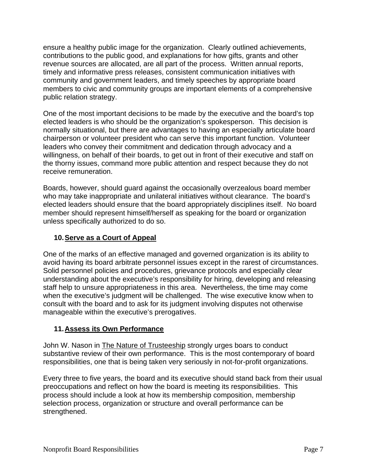ensure a healthy public image for the organization. Clearly outlined achievements, contributions to the public good, and explanations for how gifts, grants and other revenue sources are allocated, are all part of the process. Written annual reports, timely and informative press releases, consistent communication initiatives with community and government leaders, and timely speeches by appropriate board members to civic and community groups are important elements of a comprehensive public relation strategy.

One of the most important decisions to be made by the executive and the board's top elected leaders is who should be the organization's spokesperson. This decision is normally situational, but there are advantages to having an especially articulate board chairperson or volunteer president who can serve this important function. Volunteer leaders who convey their commitment and dedication through advocacy and a willingness, on behalf of their boards, to get out in front of their executive and staff on the thorny issues, command more public attention and respect because they do not receive remuneration.

Boards, however, should guard against the occasionally overzealous board member who may take inappropriate and unilateral initiatives without clearance. The board's elected leaders should ensure that the board appropriately disciplines itself. No board member should represent himself/herself as speaking for the board or organization unless specifically authorized to do so.

### **10. Serve as a Court of Appeal**

One of the marks of an effective managed and governed organization is its ability to avoid having its board arbitrate personnel issues except in the rarest of circumstances. Solid personnel policies and procedures, grievance protocols and especially clear understanding about the executive's responsibility for hiring, developing and releasing staff help to unsure appropriateness in this area. Nevertheless, the time may come when the executive's judgment will be challenged. The wise executive know when to consult with the board and to ask for its judgment involving disputes not otherwise manageable within the executive's prerogatives.

### **11. Assess its Own Performance**

John W. Nason in **The Nature of Trusteeship** strongly urges boars to conduct substantive review of their own performance. This is the most contemporary of board responsibilities, one that is being taken very seriously in not-for-profit organizations.

Every three to five years, the board and its executive should stand back from their usual preoccupations and reflect on how the board is meeting its responsibilities. This process should include a look at how its membership composition, membership selection process, organization or structure and overall performance can be strengthened.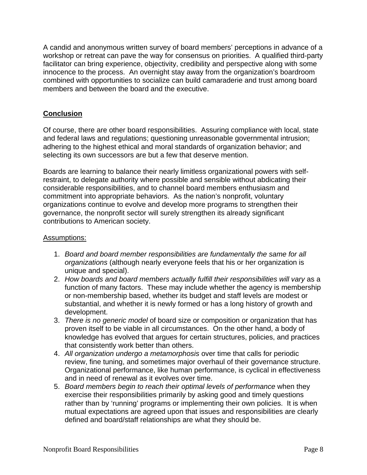A candid and anonymous written survey of board members' perceptions in advance of a workshop or retreat can pave the way for consensus on priorities. A qualified third-party facilitator can bring experience, objectivity, credibility and perspective along with some innocence to the process. An overnight stay away from the organization's boardroom combined with opportunities to socialize can build camaraderie and trust among board members and between the board and the executive.

### **Conclusion**

Of course, there are other board responsibilities. Assuring compliance with local, state and federal laws and regulations; questioning unreasonable governmental intrusion; adhering to the highest ethical and moral standards of organization behavior; and selecting its own successors are but a few that deserve mention.

Boards are learning to balance their nearly limitless organizational powers with selfrestraint, to delegate authority where possible and sensible without abdicating their considerable responsibilities, and to channel board members enthusiasm and commitment into appropriate behaviors. As the nation's nonprofit, voluntary organizations continue to evolve and develop more programs to strengthen their governance, the nonprofit sector will surely strengthen its already significant contributions to American society.

#### Assumptions:

- 1. *Board and board member responsibilities are fundamentally the same for all organizations* (although nearly everyone feels that his or her organization is unique and special).
- 2. *How boards and board members actually fulfill their responsibilities will vary* as a function of many factors. These may include whether the agency is membership or non-membership based, whether its budget and staff levels are modest or substantial, and whether it is newly formed or has a long history of growth and development.
- 3. *There is no generic model* of board size or composition or organization that has proven itself to be viable in all circumstances. On the other hand, a body of knowledge has evolved that argues for certain structures, policies, and practices that consistently work better than others.
- 4. *All organization undergo a metamorphosis* over time that calls for periodic review, fine tuning, and sometimes major overhaul of their governance structure. Organizational performance, like human performance, is cyclical in effectiveness and in need of renewal as it evolves over time.
- 5. *Board members begin to reach their optimal levels of performance* when they exercise their responsibilities primarily by asking good and timely questions rather than by 'running' programs or implementing their own policies. It is when mutual expectations are agreed upon that issues and responsibilities are clearly defined and board/staff relationships are what they should be.